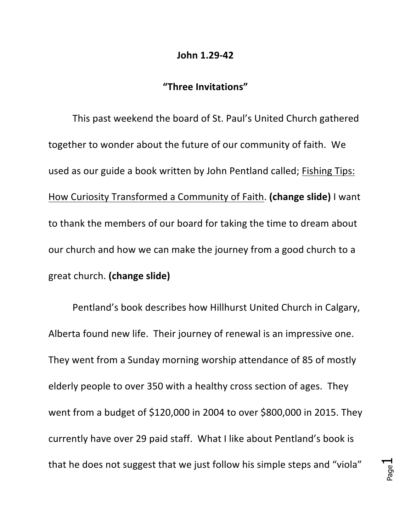## **John 1.29-42**

## **"Three Invitations"**

This past weekend the board of St. Paul's United Church gathered together to wonder about the future of our community of faith. We used as our guide a book written by John Pentland called; Fishing Tips: How Curiosity Transformed a Community of Faith. (change slide) I want to thank the members of our board for taking the time to dream about our church and how we can make the journey from a good church to a great church. (change slide)

Pentland's book describes how Hillhurst United Church in Calgary, Alberta found new life. Their journey of renewal is an impressive one. They went from a Sunday morning worship attendance of 85 of mostly elderly people to over 350 with a healthy cross section of ages. They went from a budget of \$120,000 in 2004 to over \$800,000 in 2015. They currently have over 29 paid staff. What I like about Pentland's book is that he does not suggest that we just follow his simple steps and "viola"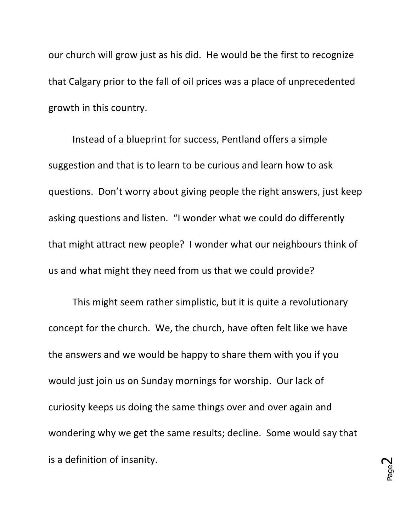our church will grow just as his did. He would be the first to recognize that Calgary prior to the fall of oil prices was a place of unprecedented growth in this country.

Instead of a blueprint for success, Pentland offers a simple suggestion and that is to learn to be curious and learn how to ask questions. Don't worry about giving people the right answers, just keep asking questions and listen. "I wonder what we could do differently that might attract new people? I wonder what our neighbours think of us and what might they need from us that we could provide?

This might seem rather simplistic, but it is quite a revolutionary concept for the church. We, the church, have often felt like we have the answers and we would be happy to share them with you if you would just join us on Sunday mornings for worship. Our lack of curiosity keeps us doing the same things over and over again and wondering why we get the same results; decline. Some would say that is a definition of insanity.

Page  $\boldsymbol{\sim}$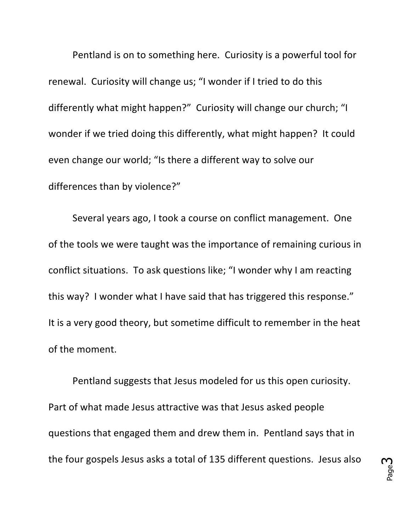Pentland is on to something here. Curiosity is a powerful tool for renewal. Curiosity will change us; "I wonder if I tried to do this differently what might happen?" Curiosity will change our church; "I wonder if we tried doing this differently, what might happen? It could even change our world; "Is there a different way to solve our differences than by violence?"

Several years ago, I took a course on conflict management. One of the tools we were taught was the importance of remaining curious in conflict situations. To ask questions like; "I wonder why I am reacting this way? I wonder what I have said that has triggered this response." It is a very good theory, but sometime difficult to remember in the heat of the moment.

Pentland suggests that Jesus modeled for us this open curiosity. Part of what made Jesus attractive was that Jesus asked people questions that engaged them and drew them in. Pentland says that in the four gospels Jesus asks a total of 135 different questions. Jesus also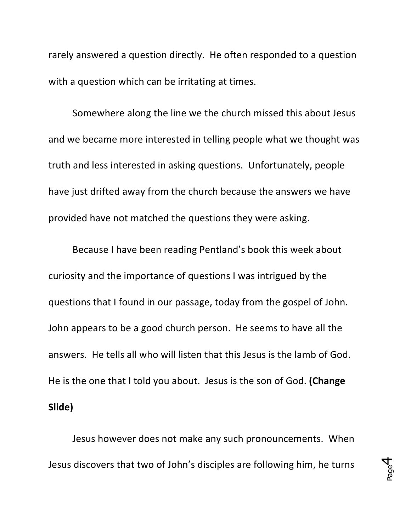rarely answered a question directly. He often responded to a question with a question which can be irritating at times.

Somewhere along the line we the church missed this about Jesus and we became more interested in telling people what we thought was truth and less interested in asking questions. Unfortunately, people have just drifted away from the church because the answers we have provided have not matched the questions they were asking.

Because I have been reading Pentland's book this week about curiosity and the importance of questions I was intrigued by the questions that I found in our passage, today from the gospel of John. John appears to be a good church person. He seems to have all the answers. He tells all who will listen that this Jesus is the lamb of God. He is the one that I told you about. Jesus is the son of God. (Change **Slide)**

Jesus however does not make any such pronouncements. When Jesus discovers that two of John's disciples are following him, he turns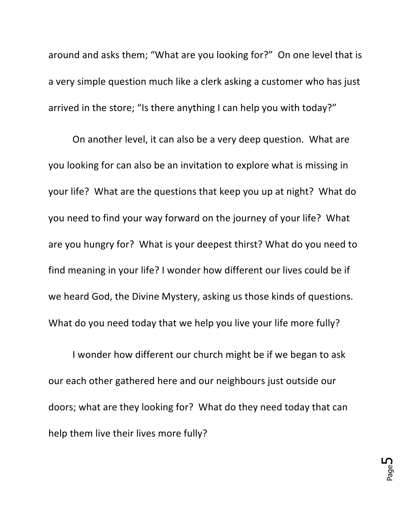around and asks them; "What are you looking for?" On one level that is a very simple question much like a clerk asking a customer who has just arrived in the store; "Is there anything I can help you with today?"

On another level, it can also be a very deep question. What are you looking for can also be an invitation to explore what is missing in your life? What are the questions that keep you up at night? What do you need to find your way forward on the journey of your life? What are you hungry for? What is your deepest thirst? What do you need to find meaning in your life? I wonder how different our lives could be if we heard God, the Divine Mystery, asking us those kinds of questions. What do you need today that we help you live your life more fully?

I wonder how different our church might be if we began to ask our each other gathered here and our neighbours just outside our doors; what are they looking for? What do they need today that can help them live their lives more fully?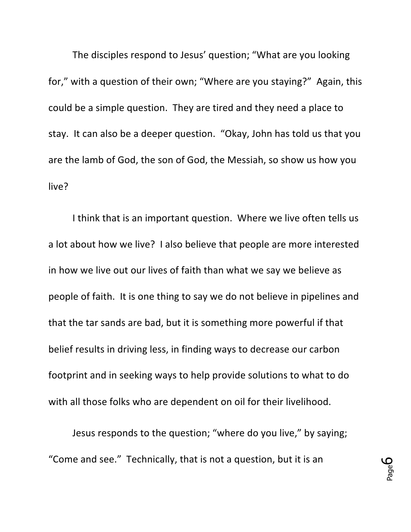The disciples respond to Jesus' question; "What are you looking for," with a question of their own; "Where are you staying?" Again, this could be a simple question. They are tired and they need a place to stay. It can also be a deeper question. "Okay, John has told us that you are the lamb of God, the son of God, the Messiah, so show us how you live?

I think that is an important question. Where we live often tells us a lot about how we live? I also believe that people are more interested in how we live out our lives of faith than what we say we believe as people of faith. It is one thing to say we do not believe in pipelines and that the tar sands are bad, but it is something more powerful if that belief results in driving less, in finding ways to decrease our carbon footprint and in seeking ways to help provide solutions to what to do with all those folks who are dependent on oil for their livelihood.

Jesus responds to the question; "where do you live," by saying; "Come and see." Technically, that is not a question, but it is an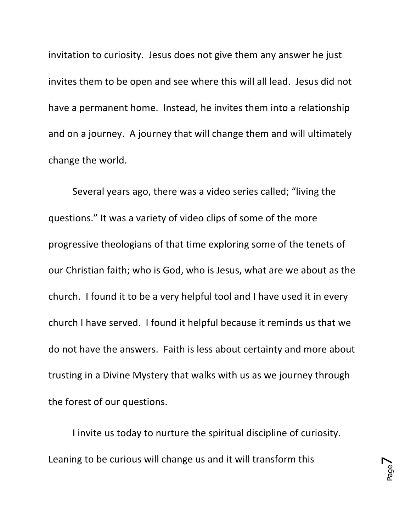invitation to curiosity. Jesus does not give them any answer he just invites them to be open and see where this will all lead. Jesus did not have a permanent home. Instead, he invites them into a relationship and on a journey. A journey that will change them and will ultimately change the world.

Several years ago, there was a video series called; "living the questions." It was a variety of video clips of some of the more progressive theologians of that time exploring some of the tenets of our Christian faith; who is God, who is Jesus, what are we about as the church. I found it to be a very helpful tool and I have used it in every church I have served. I found it helpful because it reminds us that we do not have the answers. Faith is less about certainty and more about trusting in a Divine Mystery that walks with us as we journey through the forest of our questions.

I invite us today to nurture the spiritual discipline of curiosity. Leaning to be curious will change us and it will transform this

Page  $\blacktriangleright$